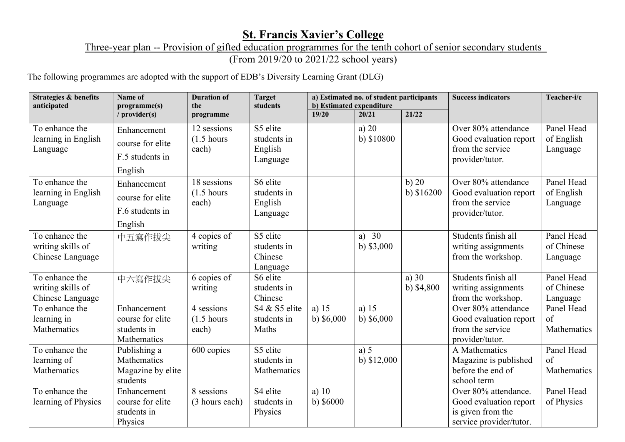## **St. Francis Xavier's College**

Three-year plan -- Provision of gifted education programmes for the tenth cohort of senior secondary students

(From 2019/20 to 2021/22 school years)

The following programmes are adopted with the support of EDB's Diversity Learning Grant (DLG)

| <b>Strategies &amp; benefits</b><br>anticipated         | Name of<br>programme(s)                                       | <b>Duration of</b><br>the                     | <b>Target</b><br>students                      | a) Estimated no. of student participants<br>b) Estimated expenditure |                        |                        | <b>Success indicators</b>                                                                      | Teacher-i/c                          |
|---------------------------------------------------------|---------------------------------------------------------------|-----------------------------------------------|------------------------------------------------|----------------------------------------------------------------------|------------------------|------------------------|------------------------------------------------------------------------------------------------|--------------------------------------|
|                                                         | / $provider(s)$                                               | programme                                     |                                                | 19/20                                                                | 20/21                  | 21/22                  |                                                                                                |                                      |
| To enhance the<br>learning in English<br>Language       | Enhancement<br>course for elite<br>F.5 students in<br>English | 12 sessions<br>$(1.5 \text{ hours})$<br>each) | S5 elite<br>students in<br>English<br>Language |                                                                      | a) $20$<br>b) \$10800  |                        | Over 80% attendance<br>Good evaluation report<br>from the service<br>provider/tutor.           | Panel Head<br>of English<br>Language |
| To enhance the<br>learning in English<br>Language       | Enhancement<br>course for elite<br>F.6 students in<br>English | 18 sessions<br>$(1.5 \text{ hours})$<br>each) | S6 elite<br>students in<br>English<br>Language |                                                                      |                        | b)20<br>b) $$16200$    | Over 80% attendance<br>Good evaluation report<br>from the service<br>provider/tutor.           | Panel Head<br>of English<br>Language |
| To enhance the<br>writing skills of<br>Chinese Language | 中五寫作拔尖                                                        | 4 copies of<br>writing                        | S5 elite<br>students in<br>Chinese<br>Language |                                                                      | a) $30$<br>b) $$3,000$ |                        | Students finish all<br>writing assignments<br>from the workshop.                               | Panel Head<br>of Chinese<br>Language |
| To enhance the<br>writing skills of<br>Chinese Language | 中六寫作拔尖                                                        | 6 copies of<br>writing                        | S6 elite<br>students in<br>Chinese             |                                                                      |                        | a) $30$<br>b) $$4,800$ | Students finish all<br>writing assignments<br>from the workshop.                               | Panel Head<br>of Chinese<br>Language |
| To enhance the<br>learning in<br>Mathematics            | Enhancement<br>course for elite<br>students in<br>Mathematics | 4 sessions<br>$(1.5 \text{ hours})$<br>each)  | S4 & S5 elite<br>students in<br>Maths          | a) $15$<br>b) $$6,000$                                               | a) $15$<br>b) $$6,000$ |                        | Over 80% attendance<br>Good evaluation report<br>from the service<br>provider/tutor.           | Panel Head<br>of<br>Mathematics      |
| To enhance the<br>learning of<br>Mathematics            | Publishing a<br>Mathematics<br>Magazine by elite<br>students  | 600 copies                                    | S5 elite<br>students in<br>Mathematics         |                                                                      | a) $5$<br>b) $$12,000$ |                        | A Mathematics<br>Magazine is published<br>before the end of<br>school term                     | Panel Head<br>of<br>Mathematics      |
| To enhance the<br>learning of Physics                   | Enhancement<br>course for elite<br>students in<br>Physics     | 8 sessions<br>(3 hours each)                  | S4 elite<br>students in<br>Physics             | a) $10$<br>b) $$6000$                                                |                        |                        | Over 80% attendance.<br>Good evaluation report<br>is given from the<br>service provider/tutor. | Panel Head<br>of Physics             |